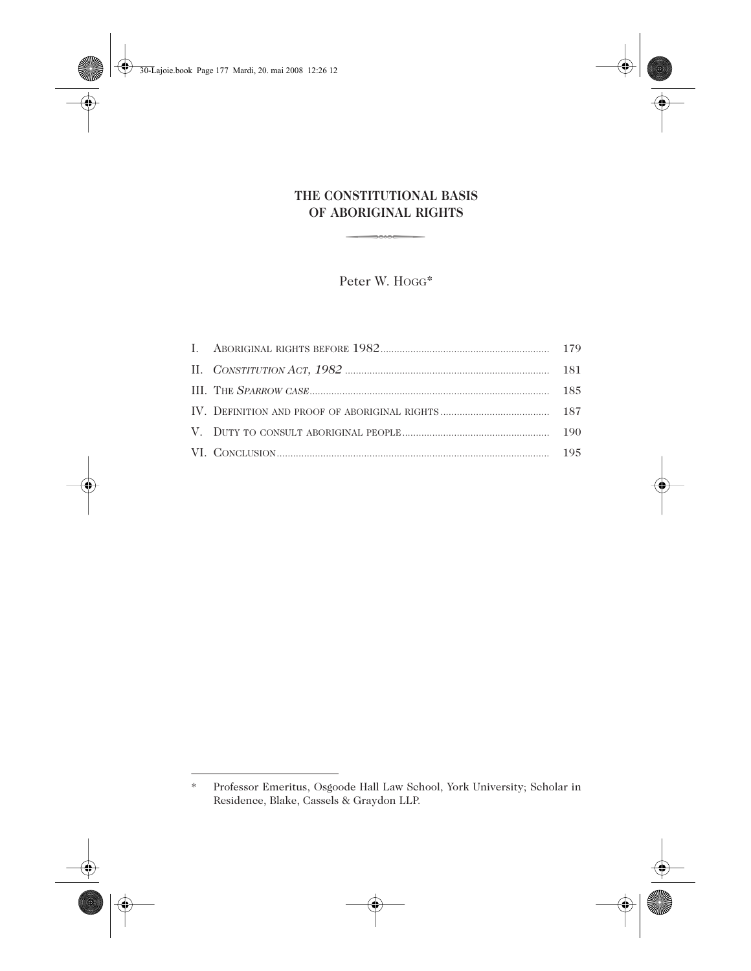30-Lajoie.book Page 177 Mardi, 20. mai 2008 12:26 12⊕

# THE CONSTITUTIONAL BASIS<br>OF ABORIGINAL RIGHTS **OF ABORIGINAL RIGHTS**

## Peter W. Hogg\*

<sup>\*</sup> Professor Emeritus, Osgoode Hall Law School, York University; Scholar in Residence, Blake, Cassels & Graydon LLP.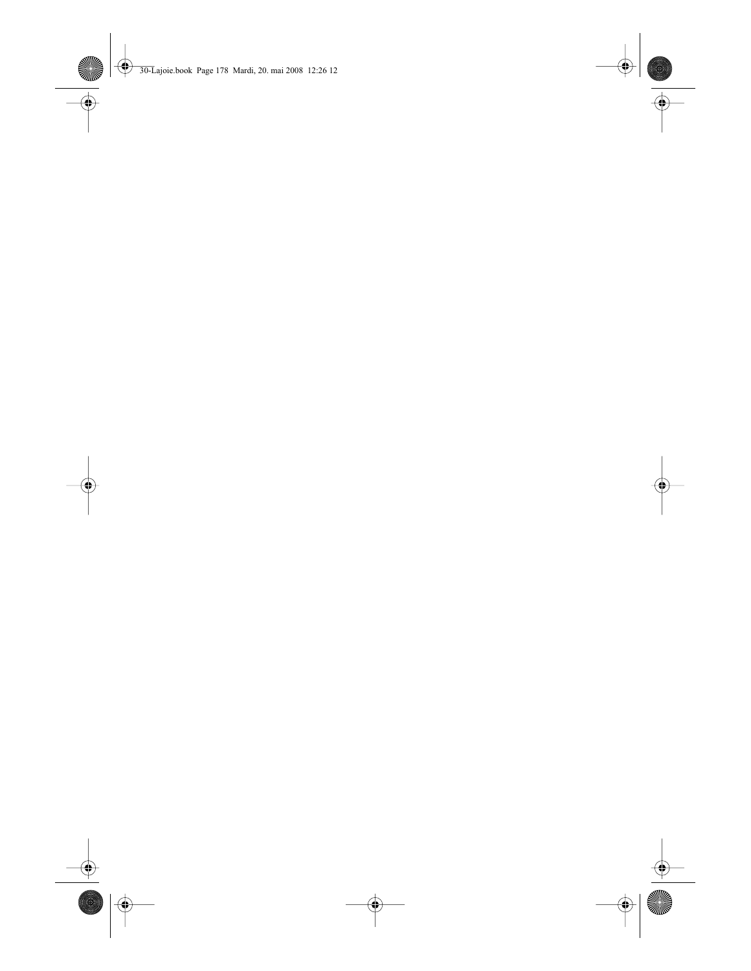30-Lajoie.book Page 178 Mardi, 20. mai 2008 12:26 12

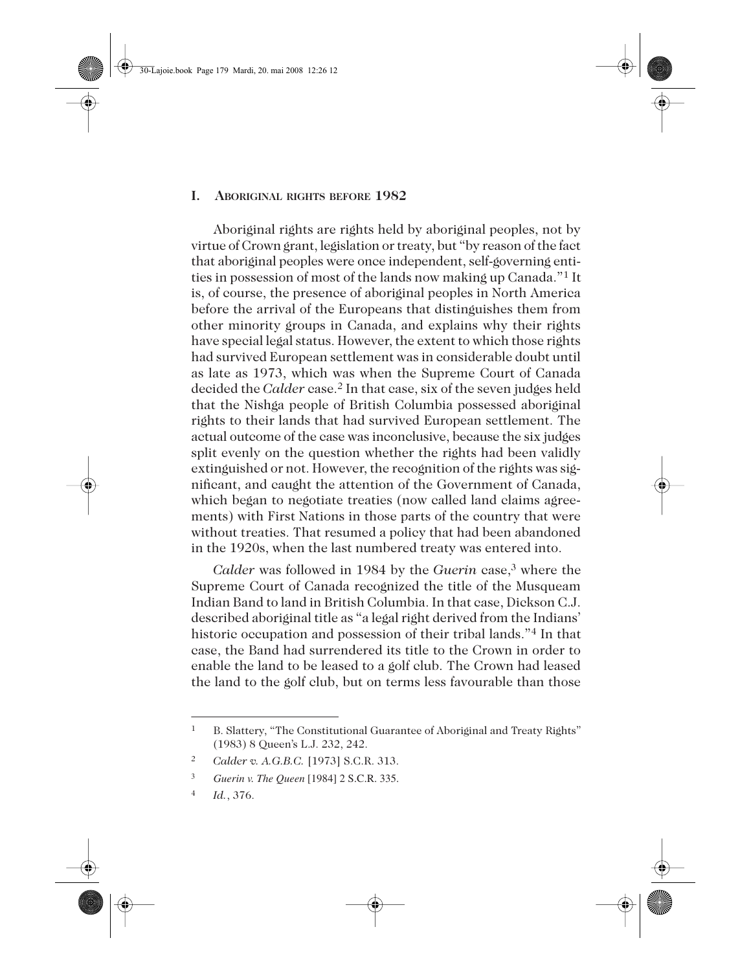## **I. ABORIGINAL RIGHTS BEFORE 1982**

Aboriginal rights are rights held by aboriginal peoples, not by virtue of Crown grant, legislation or treaty, but "by reason of the fact that aboriginal peoples were once independent, self-governing entities in possession of most of the lands now making up Canada."1 It is, of course, the presence of aboriginal peoples in North America before the arrival of the Europeans that distinguishes them from other minority groups in Canada, and explains why their rights have special legal status. However, the extent to which those rights had survived European settlement was in considerable doubt until as late as 1973, which was when the Supreme Court of Canada decided the *Calder* case.2 In that case, six of the seven judges held that the Nishga people of British Columbia possessed aboriginal rights to their lands that had survived European settlement. The actual outcome of the case was inconclusive, because the six judges split evenly on the question whether the rights had been validly extinguished or not. However, the recognition of the rights was significant, and caught the attention of the Government of Canada, which began to negotiate treaties (now called land claims agreements) with First Nations in those parts of the country that were without treaties. That resumed a policy that had been abandoned in the 1920s, when the last numbered treaty was entered into.

*Calder* was followed in 1984 by the *Guerin* case,<sup>3</sup> where the Supreme Court of Canada recognized the title of the Musqueam Indian Band to land in British Columbia. In that case, Dickson C.J. described aboriginal title as "a legal right derived from the Indians' historic occupation and possession of their tribal lands."4 In that case, the Band had surrendered its title to the Crown in order to enable the land to be leased to a golf club. The Crown had leased the land to the golf club, but on terms less favourable than those

<sup>&</sup>lt;sup>1</sup> B. Slattery, "The Constitutional Guarantee of Aboriginal and Treaty Rights" (1983) 8 Queen's L.J. 232, 242.

<sup>2</sup> *Calder v. A.G.B.C.* [1973] S.C.R. 313.

<sup>3</sup> *Guerin v. The Queen* [1984] 2 S.C.R. 335.

<sup>4</sup> *Id.*, 376.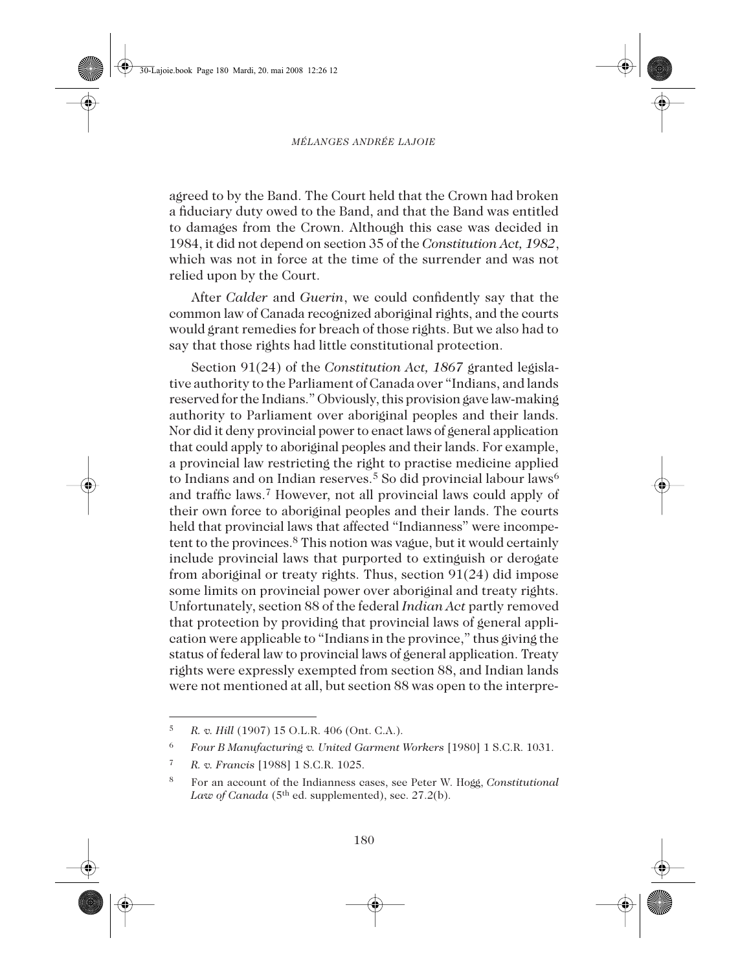agreed to by the Band. The Court held that the Crown had broken a fiduciary duty owed to the Band, and that the Band was entitled to damages from the Crown. Although this case was decided in 1984, it did not depend on section 35 of the *Constitution Act, 1982*, which was not in force at the time of the surrender and was not relied upon by the Court.

After *Calder* and *Guerin*, we could confidently say that the common law of Canada recognized aboriginal rights, and the courts would grant remedies for breach of those rights. But we also had to say that those rights had little constitutional protection.

Section 91(24) of the *Constitution Act, 1867* granted legislative authority to the Parliament of Canada over "Indians, and lands reserved for the Indians." Obviously, this provision gave law-making authority to Parliament over aboriginal peoples and their lands. Nor did it deny provincial power to enact laws of general application that could apply to aboriginal peoples and their lands. For example, a provincial law restricting the right to practise medicine applied to Indians and on Indian reserves.<sup>5</sup> So did provincial labour laws<sup>6</sup> and traffic laws.7 However, not all provincial laws could apply of their own force to aboriginal peoples and their lands. The courts held that provincial laws that affected "Indianness" were incompetent to the provinces.<sup>8</sup> This notion was vague, but it would certainly include provincial laws that purported to extinguish or derogate from aboriginal or treaty rights. Thus, section 91(24) did impose some limits on provincial power over aboriginal and treaty rights. Unfortunately, section 88 of the federal *Indian Act* partly removed that protection by providing that provincial laws of general application were applicable to "Indians in the province," thus giving the status of federal law to provincial laws of general application. Treaty rights were expressly exempted from section 88, and Indian lands were not mentioned at all, but section 88 was open to the interpre-

<sup>5</sup> *R. v. Hill* (1907) 15 O.L.R. 406 (Ont. C.A.).

<sup>6</sup> *Four B Manufacturing v. United Garment Workers* [1980] 1 S.C.R. 1031.

<sup>7</sup> *R. v. Francis* [1988] 1 S.C.R. 1025.

<sup>8</sup> For an account of the Indianness cases, see Peter W. Hogg, *Constitutional Law of Canada* ( $5<sup>th</sup>$  ed. supplemented), sec. 27.2(b).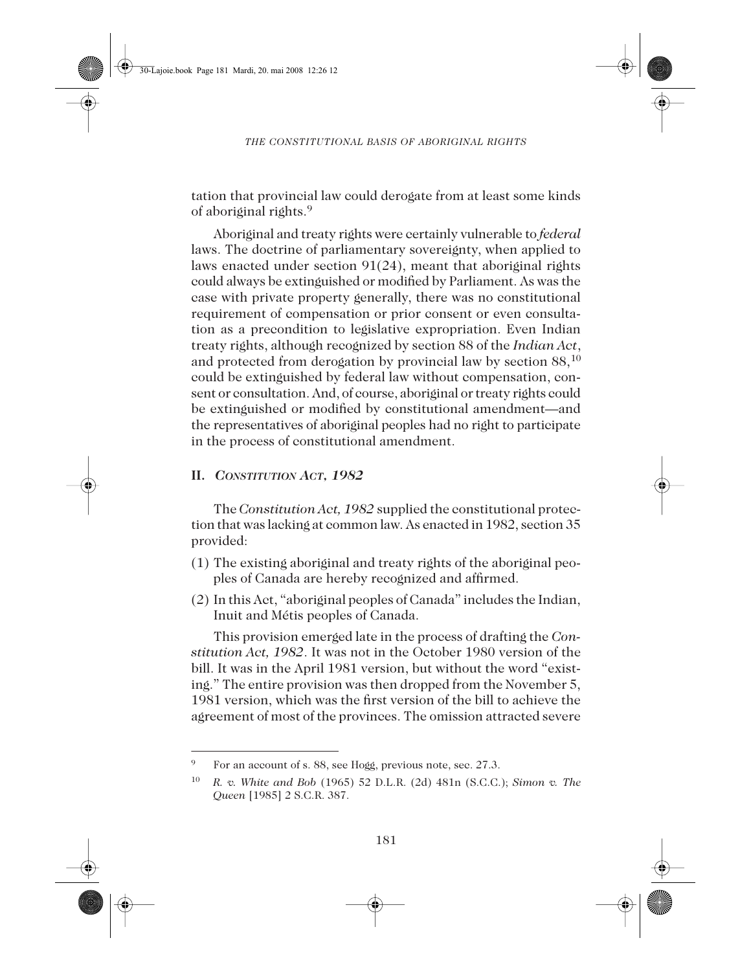tation that provincial law could derogate from at least some kinds of aboriginal rights.9

Aboriginal and treaty rights were certainly vulnerable to *federal* laws. The doctrine of parliamentary sovereignty, when applied to laws enacted under section 91(24), meant that aboriginal rights could always be extinguished or modified by Parliament. As was the case with private property generally, there was no constitutional requirement of compensation or prior consent or even consultation as a precondition to legislative expropriation. Even Indian treaty rights, although recognized by section 88 of the *Indian Act*, and protected from derogation by provincial law by section 88,10 could be extinguished by federal law without compensation, consent or consultation. And, of course, aboriginal or treaty rights could be extinguished or modified by constitutional amendment—and the representatives of aboriginal peoples had no right to participate in the process of constitutional amendment.

## **II.** *CONSTITUTION ACT, 1982*

The *Constitution Act, 1982* supplied the constitutional protection that was lacking at common law. As enacted in 1982, section 35 provided:

- (1) The existing aboriginal and treaty rights of the aboriginal peoples of Canada are hereby recognized and affirmed.
- (2) In this Act, "aboriginal peoples of Canada" includes the Indian, Inuit and Métis peoples of Canada.

This provision emerged late in the process of drafting the *Constitution Act, 1982*. It was not in the October 1980 version of the bill. It was in the April 1981 version, but without the word "existing." The entire provision was then dropped from the November 5, 1981 version, which was the first version of the bill to achieve the agreement of most of the provinces. The omission attracted severe

<sup>10</sup> *R. v. White and Bob* (1965) 52 D.L.R. (2d) 481n (S.C.C.); *Simon v. The Queen* [1985] 2 S.C.R. 387.



<sup>&</sup>lt;sup>9</sup> For an account of s. 88, see Hogg, previous note, sec. 27.3.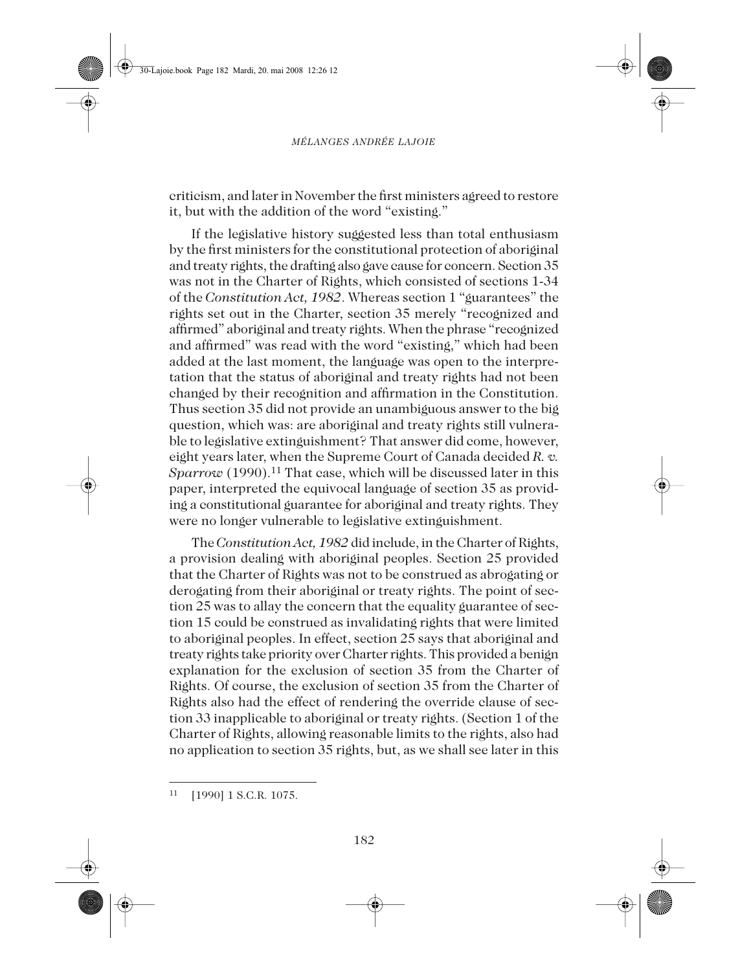criticism, and later in November the first ministers agreed to restore it, but with the addition of the word "existing."

If the legislative history suggested less than total enthusiasm by the first ministers for the constitutional protection of aboriginal and treaty rights, the drafting also gave cause for concern. Section 35 was not in the Charter of Rights, which consisted of sections 1-34 of the *Constitution Act, 1982*. Whereas section 1 "guarantees" the rights set out in the Charter, section 35 merely "recognized and affirmed" aboriginal and treaty rights. When the phrase "recognized and affirmed" was read with the word "existing," which had been added at the last moment, the language was open to the interpretation that the status of aboriginal and treaty rights had not been changed by their recognition and affirmation in the Constitution. Thus section 35 did not provide an unambiguous answer to the big question, which was: are aboriginal and treaty rights still vulnerable to legislative extinguishment? That answer did come, however, eight years later, when the Supreme Court of Canada decided *R. v. Sparrow* (1990).<sup>11</sup> That case, which will be discussed later in this paper, interpreted the equivocal language of section 35 as providing a constitutional guarantee for aboriginal and treaty rights. They were no longer vulnerable to legislative extinguishment.

The *Constitution Act, 1982* did include, in the Charter of Rights, a provision dealing with aboriginal peoples. Section 25 provided that the Charter of Rights was not to be construed as abrogating or derogating from their aboriginal or treaty rights. The point of section 25 was to allay the concern that the equality guarantee of section 15 could be construed as invalidating rights that were limited to aboriginal peoples. In effect, section 25 says that aboriginal and treaty rights take priority over Charter rights. This provided a benign explanation for the exclusion of section 35 from the Charter of Rights. Of course, the exclusion of section 35 from the Charter of Rights also had the effect of rendering the override clause of section 33 inapplicable to aboriginal or treaty rights. (Section 1 of the Charter of Rights, allowing reasonable limits to the rights, also had no application to section 35 rights, but, as we shall see later in this

 $11$  [1990] 1 S.C.R. 1075.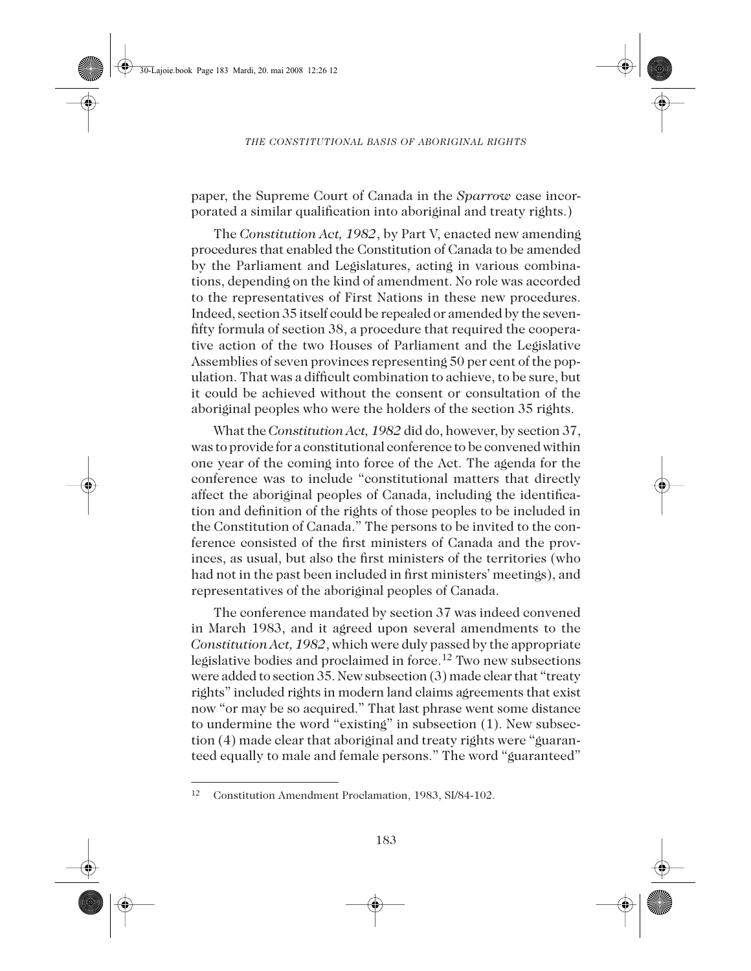paper, the Supreme Court of Canada in the *Sparrow* case incorporated a similar qualification into aboriginal and treaty rights.)

The *Constitution Act, 1982*, by Part V, enacted new amending procedures that enabled the Constitution of Canada to be amended by the Parliament and Legislatures, acting in various combinations, depending on the kind of amendment. No role was accorded to the representatives of First Nations in these new procedures. Indeed, section 35 itself could be repealed or amended by the sevenfifty formula of section 38, a procedure that required the cooperative action of the two Houses of Parliament and the Legislative Assemblies of seven provinces representing 50 per cent of the population. That was a difficult combination to achieve, to be sure, but it could be achieved without the consent or consultation of the aboriginal peoples who were the holders of the section 35 rights.

What the *Constitution Act, 1982* did do, however, by section 37, was to provide for a constitutional conference to be convened within one year of the coming into force of the Act. The agenda for the conference was to include "constitutional matters that directly affect the aboriginal peoples of Canada, including the identification and definition of the rights of those peoples to be included in the Constitution of Canada." The persons to be invited to the conference consisted of the first ministers of Canada and the provinces, as usual, but also the first ministers of the territories (who had not in the past been included in first ministers' meetings), and representatives of the aboriginal peoples of Canada.

The conference mandated by section 37 was indeed convened in March 1983, and it agreed upon several amendments to the *Constitution Act, 1982*, which were duly passed by the appropriate legislative bodies and proclaimed in force.<sup>12</sup> Two new subsections were added to section 35. New subsection (3) made clear that "treaty rights" included rights in modern land claims agreements that exist now "or may be so acquired." That last phrase went some distance to undermine the word "existing" in subsection (1). New subsection (4) made clear that aboriginal and treaty rights were "guaranteed equally to male and female persons." The word "guaranteed"

<sup>12</sup> Constitution Amendment Proclamation, 1983, SI/84-102.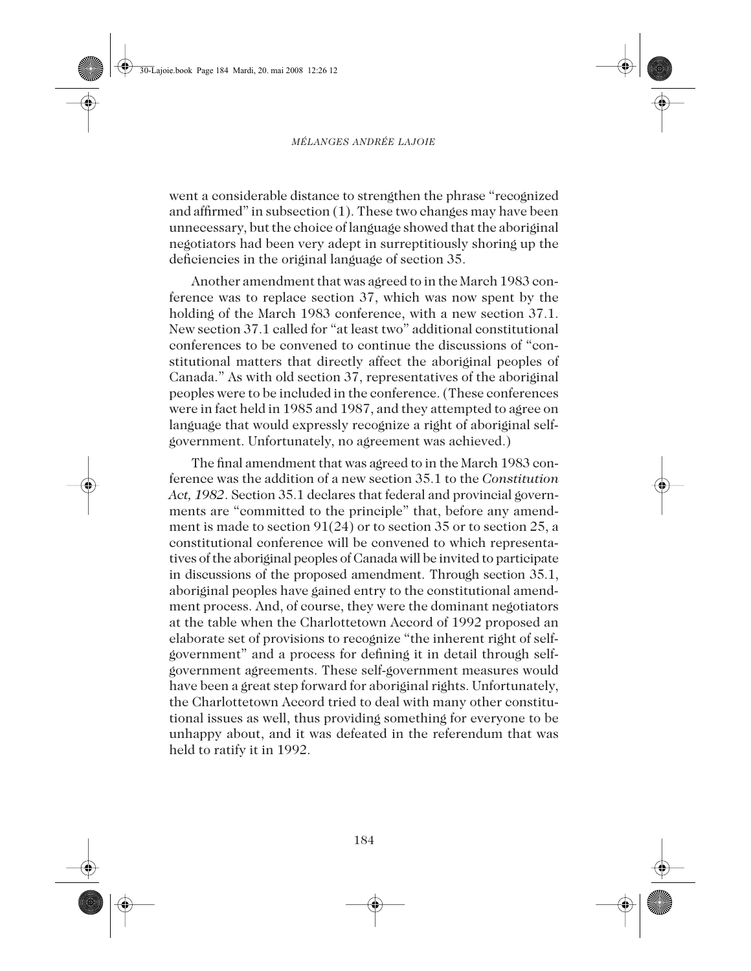went a considerable distance to strengthen the phrase "recognized and affirmed" in subsection (1). These two changes may have been unnecessary, but the choice of language showed that the aboriginal negotiators had been very adept in surreptitiously shoring up the deficiencies in the original language of section 35.

Another amendment that was agreed to in the March 1983 conference was to replace section 37, which was now spent by the holding of the March 1983 conference, with a new section 37.1. New section 37.1 called for "at least two" additional constitutional conferences to be convened to continue the discussions of "constitutional matters that directly affect the aboriginal peoples of Canada." As with old section 37, representatives of the aboriginal peoples were to be included in the conference. (These conferences were in fact held in 1985 and 1987, and they attempted to agree on language that would expressly recognize a right of aboriginal selfgovernment. Unfortunately, no agreement was achieved.)

The final amendment that was agreed to in the March 1983 conference was the addition of a new section 35.1 to the *Constitution Act, 1982*. Section 35.1 declares that federal and provincial governments are "committed to the principle" that, before any amendment is made to section 91(24) or to section 35 or to section 25, a constitutional conference will be convened to which representatives of the aboriginal peoples of Canada will be invited to participate in discussions of the proposed amendment. Through section 35.1, aboriginal peoples have gained entry to the constitutional amendment process. And, of course, they were the dominant negotiators at the table when the Charlottetown Accord of 1992 proposed an elaborate set of provisions to recognize "the inherent right of selfgovernment" and a process for defining it in detail through selfgovernment agreements. These self-government measures would have been a great step forward for aboriginal rights. Unfortunately, the Charlottetown Accord tried to deal with many other constitutional issues as well, thus providing something for everyone to be unhappy about, and it was defeated in the referendum that was held to ratify it in 1992.

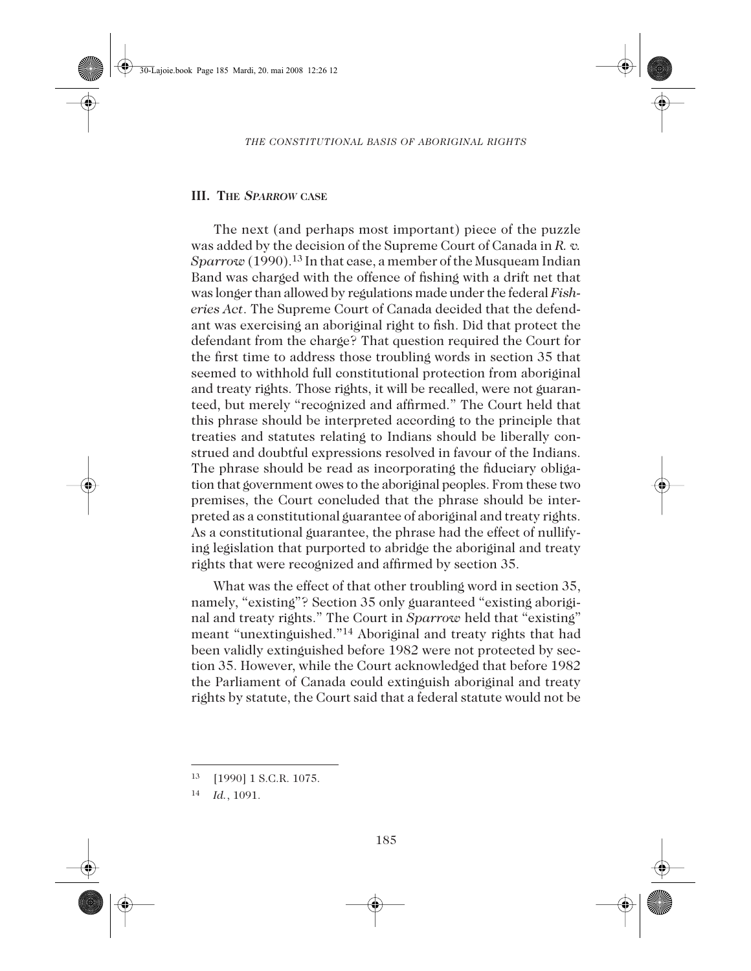## **III. THE** *SPARROW* **CASE**

The next (and perhaps most important) piece of the puzzle was added by the decision of the Supreme Court of Canada in *R. v. Sparrow* (1990).<sup>13</sup> In that case, a member of the Musqueam Indian Band was charged with the offence of fishing with a drift net that was longer than allowed by regulations made under the federal *Fisheries Act*. The Supreme Court of Canada decided that the defendant was exercising an aboriginal right to fish. Did that protect the defendant from the charge? That question required the Court for the first time to address those troubling words in section 35 that seemed to withhold full constitutional protection from aboriginal and treaty rights. Those rights, it will be recalled, were not guaranteed, but merely "recognized and affirmed." The Court held that this phrase should be interpreted according to the principle that treaties and statutes relating to Indians should be liberally construed and doubtful expressions resolved in favour of the Indians. The phrase should be read as incorporating the fiduciary obligation that government owes to the aboriginal peoples. From these two premises, the Court concluded that the phrase should be interpreted as a constitutional guarantee of aboriginal and treaty rights. As a constitutional guarantee, the phrase had the effect of nullifying legislation that purported to abridge the aboriginal and treaty rights that were recognized and affirmed by section 35.

What was the effect of that other troubling word in section 35, namely, "existing"? Section 35 only guaranteed "existing aboriginal and treaty rights." The Court in *Sparrow* held that "existing" meant "unextinguished."14 Aboriginal and treaty rights that had been validly extinguished before 1982 were not protected by section 35. However, while the Court acknowledged that before 1982 the Parliament of Canada could extinguish aboriginal and treaty rights by statute, the Court said that a federal statute would not be

<sup>13</sup> [1990] 1 S.C.R. 1075.

<sup>14</sup> *Id.*, 1091.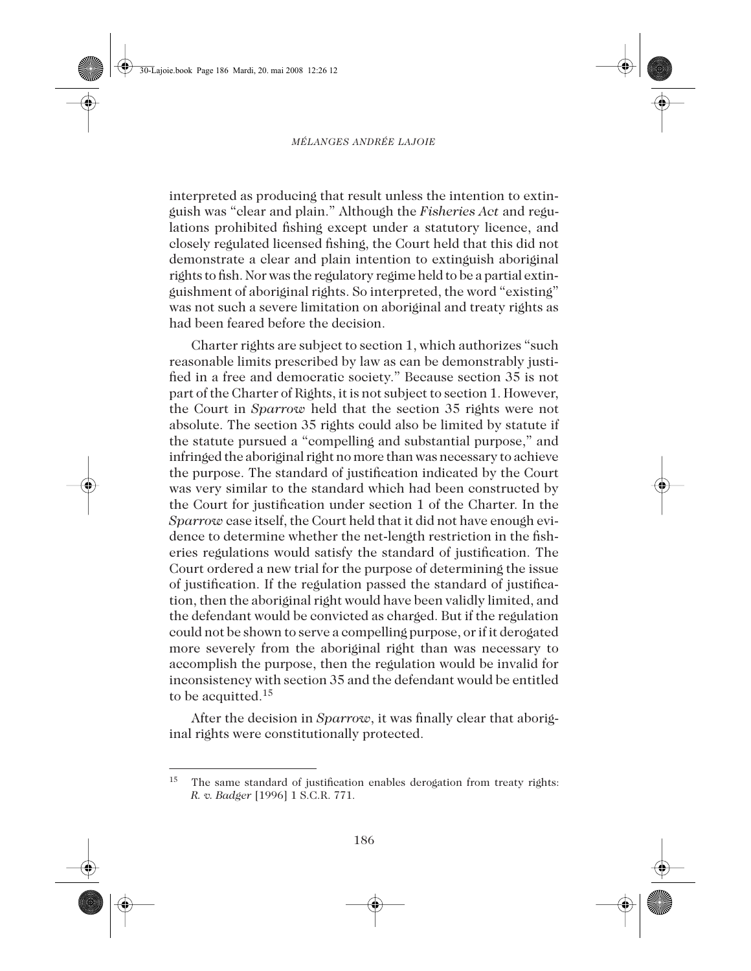interpreted as producing that result unless the intention to extinguish was "clear and plain." Although the *Fisheries Act* and regulations prohibited fishing except under a statutory licence, and closely regulated licensed fishing, the Court held that this did not demonstrate a clear and plain intention to extinguish aboriginal rights to fish. Nor was the regulatory regime held to be a partial extinguishment of aboriginal rights. So interpreted, the word "existing" was not such a severe limitation on aboriginal and treaty rights as had been feared before the decision.

Charter rights are subject to section 1, which authorizes "such reasonable limits prescribed by law as can be demonstrably justified in a free and democratic society." Because section 35 is not part of the Charter of Rights, it is not subject to section 1. However, the Court in *Sparrow* held that the section 35 rights were not absolute. The section 35 rights could also be limited by statute if the statute pursued a "compelling and substantial purpose," and infringed the aboriginal right no more than was necessary to achieve the purpose. The standard of justification indicated by the Court was very similar to the standard which had been constructed by the Court for justification under section 1 of the Charter. In the *Sparrow* case itself, the Court held that it did not have enough evidence to determine whether the net-length restriction in the fisheries regulations would satisfy the standard of justification. The Court ordered a new trial for the purpose of determining the issue of justification. If the regulation passed the standard of justification, then the aboriginal right would have been validly limited, and the defendant would be convicted as charged. But if the regulation could not be shown to serve a compelling purpose, or if it derogated more severely from the aboriginal right than was necessary to accomplish the purpose, then the regulation would be invalid for inconsistency with section 35 and the defendant would be entitled to be acquitted.15

After the decision in *Sparrow*, it was finally clear that aboriginal rights were constitutionally protected.

<sup>&</sup>lt;sup>15</sup> The same standard of justification enables derogation from treaty rights: *R. v. Badger* [1996] 1 S.C.R. 771.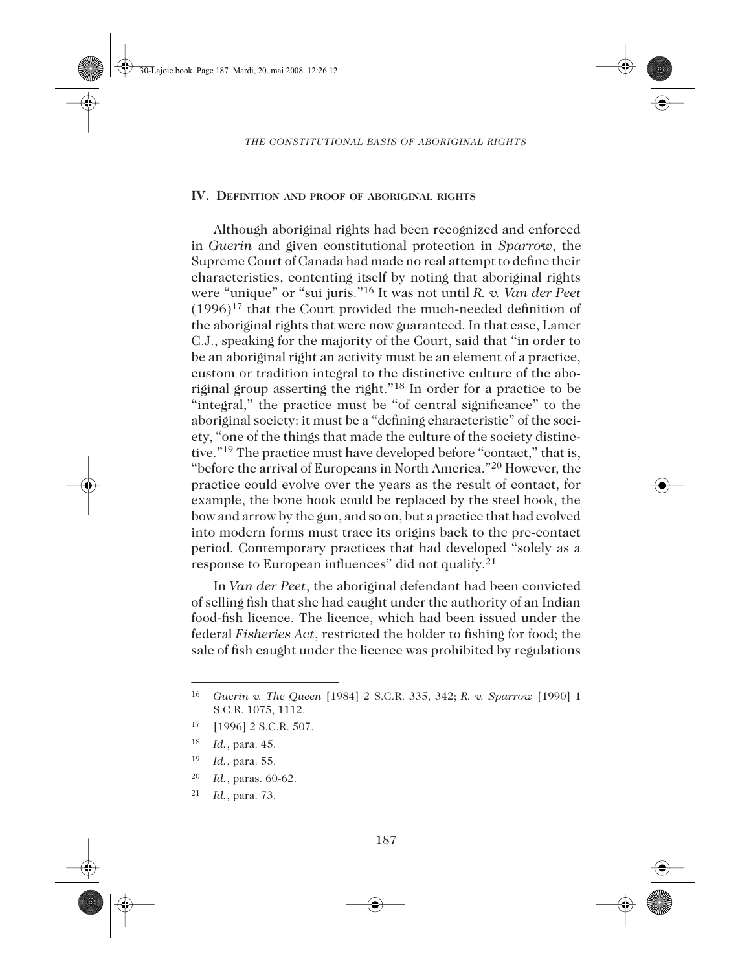## **IV. DEFINITION AND PROOF OF ABORIGINAL RIGHTS**

Although aboriginal rights had been recognized and enforced in *Guerin* and given constitutional protection in *Sparrow*, the Supreme Court of Canada had made no real attempt to define their characteristics, contenting itself by noting that aboriginal rights were "unique" or "sui juris."16 It was not until *R. v. Van der Peet*  $(1996)^{17}$  that the Court provided the much-needed definition of the aboriginal rights that were now guaranteed. In that case, Lamer C.J., speaking for the majority of the Court, said that "in order to be an aboriginal right an activity must be an element of a practice, custom or tradition integral to the distinctive culture of the aboriginal group asserting the right."18 In order for a practice to be "integral," the practice must be "of central significance" to the aboriginal society: it must be a "defining characteristic" of the society, "one of the things that made the culture of the society distinctive."19 The practice must have developed before "contact," that is, "before the arrival of Europeans in North America."20 However, the practice could evolve over the years as the result of contact, for example, the bone hook could be replaced by the steel hook, the bow and arrow by the gun, and so on, but a practice that had evolved into modern forms must trace its origins back to the pre-contact period. Contemporary practices that had developed "solely as a response to European influences" did not qualify.21

In *Van der Peet*, the aboriginal defendant had been convicted of selling fish that she had caught under the authority of an Indian food-fish licence. The licence, which had been issued under the federal *Fisheries Act*, restricted the holder to fishing for food; the sale of fish caught under the licence was prohibited by regulations

<sup>16</sup> *Guerin v. The Queen* [1984] 2 S.C.R. 335, 342; *R. v. Sparrow* [1990] 1 S.C.R. 1075, 1112.

<sup>17</sup> [1996] 2 S.C.R. 507.

<sup>18</sup> *Id.*, para. 45.

<sup>19</sup> *Id.*, para. 55.

<sup>20</sup> *Id.*, paras. 60-62.

<sup>21</sup> *Id.*, para. 73.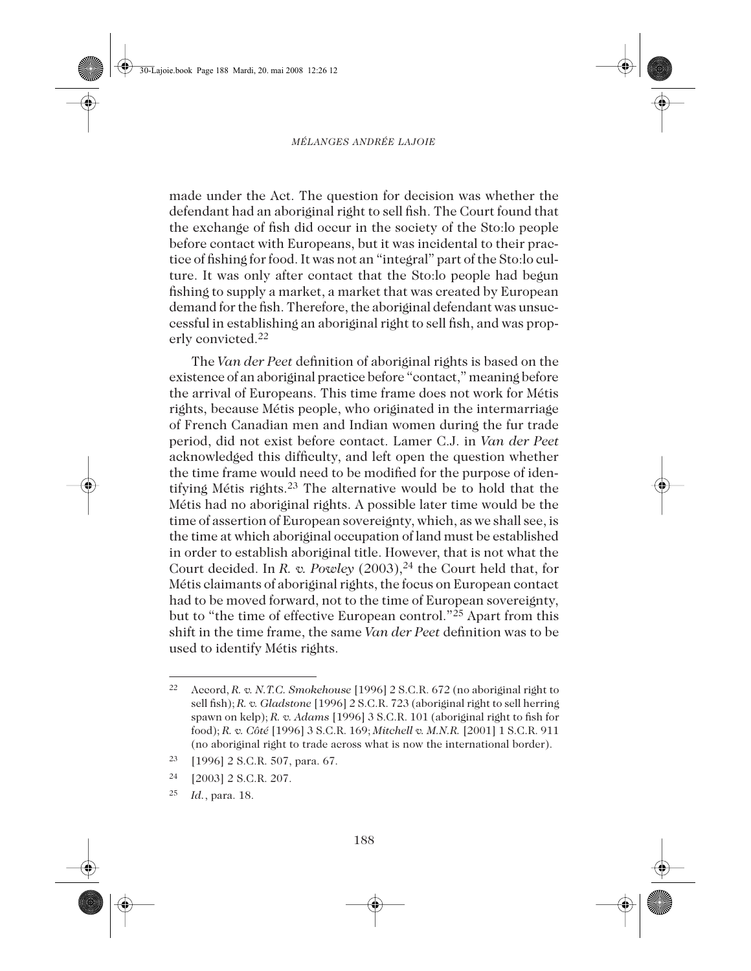made under the Act. The question for decision was whether the defendant had an aboriginal right to sell fish. The Court found that the exchange of fish did occur in the society of the Sto:lo people before contact with Europeans, but it was incidental to their practice of fishing for food. It was not an "integral" part of the Sto:lo culture. It was only after contact that the Sto:lo people had begun fishing to supply a market, a market that was created by European demand for the fish. Therefore, the aboriginal defendant was unsuccessful in establishing an aboriginal right to sell fish, and was properly convicted.22

The *Van der Peet* definition of aboriginal rights is based on the existence of an aboriginal practice before "contact," meaning before the arrival of Europeans. This time frame does not work for Métis rights, because Métis people, who originated in the intermarriage of French Canadian men and Indian women during the fur trade period, did not exist before contact. Lamer C.J. in *Van der Peet* acknowledged this difficulty, and left open the question whether the time frame would need to be modified for the purpose of identifying Métis rights.23 The alternative would be to hold that the Métis had no aboriginal rights. A possible later time would be the time of assertion of European sovereignty, which, as we shall see, is the time at which aboriginal occupation of land must be established in order to establish aboriginal title. However, that is not what the Court decided. In *R. v. Powley* (2003),<sup>24</sup> the Court held that, for Métis claimants of aboriginal rights, the focus on European contact had to be moved forward, not to the time of European sovereignty, but to "the time of effective European control."25 Apart from this shift in the time frame, the same *Van der Peet* definition was to be used to identify Métis rights.

<sup>22</sup> Accord, *R. v. N.T.C. Smokehouse* [1996] 2 S.C.R. 672 (no aboriginal right to sell fish); *R. v. Gladstone* [1996] 2 S.C.R. 723 (aboriginal right to sell herring spawn on kelp); *R. v. Adams* [1996] 3 S.C.R. 101 (aboriginal right to fish for food); *R. v. Côté* [1996] 3 S.C.R. 169; *Mitchell v. M.N.R.* [2001] 1 S.C.R. 911 (no aboriginal right to trade across what is now the international border).

<sup>23</sup> [1996] 2 S.C.R. 507, para. 67.

<sup>24</sup> [2003] 2 S.C.R. 207.

<sup>25</sup> *Id.*, para. 18.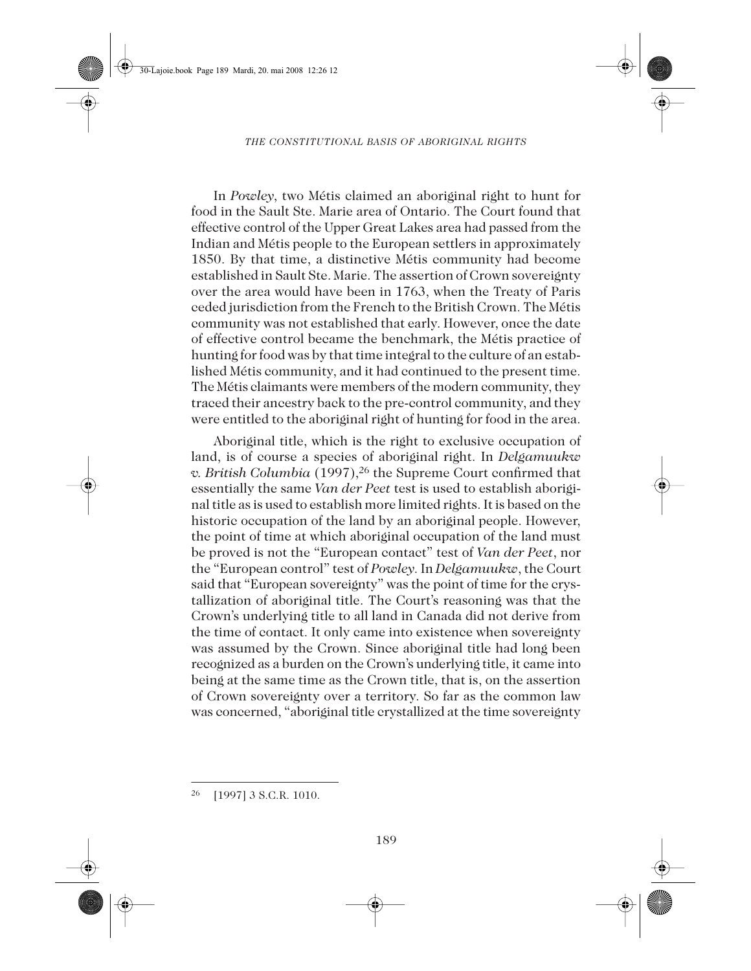In *Powley*, two Métis claimed an aboriginal right to hunt for food in the Sault Ste. Marie area of Ontario. The Court found that effective control of the Upper Great Lakes area had passed from the Indian and Métis people to the European settlers in approximately 1850. By that time, a distinctive Métis community had become established in Sault Ste. Marie. The assertion of Crown sovereignty over the area would have been in 1763, when the Treaty of Paris ceded jurisdiction from the French to the British Crown. The Métis community was not established that early. However, once the date of effective control became the benchmark, the Métis practice of hunting for food was by that time integral to the culture of an established Métis community, and it had continued to the present time. The Métis claimants were members of the modern community, they traced their ancestry back to the pre-control community, and they were entitled to the aboriginal right of hunting for food in the area.

Aboriginal title, which is the right to exclusive occupation of land, is of course a species of aboriginal right. In *Delgamuukw v. British Columbia* (1997),<sup>26</sup> the Supreme Court confirmed that essentially the same *Van der Peet* test is used to establish aboriginal title as is used to establish more limited rights. It is based on the historic occupation of the land by an aboriginal people. However, the point of time at which aboriginal occupation of the land must be proved is not the "European contact" test of *Van der Peet*, nor the "European control" test of *Powley*. In *Delgamuukw*, the Court said that "European sovereignty" was the point of time for the crystallization of aboriginal title. The Court's reasoning was that the Crown's underlying title to all land in Canada did not derive from the time of contact. It only came into existence when sovereignty was assumed by the Crown. Since aboriginal title had long been recognized as a burden on the Crown's underlying title, it came into being at the same time as the Crown title, that is, on the assertion of Crown sovereignty over a territory. So far as the common law was concerned, "aboriginal title crystallized at the time sovereignty

<sup>26</sup> [1997] 3 S.C.R. 1010.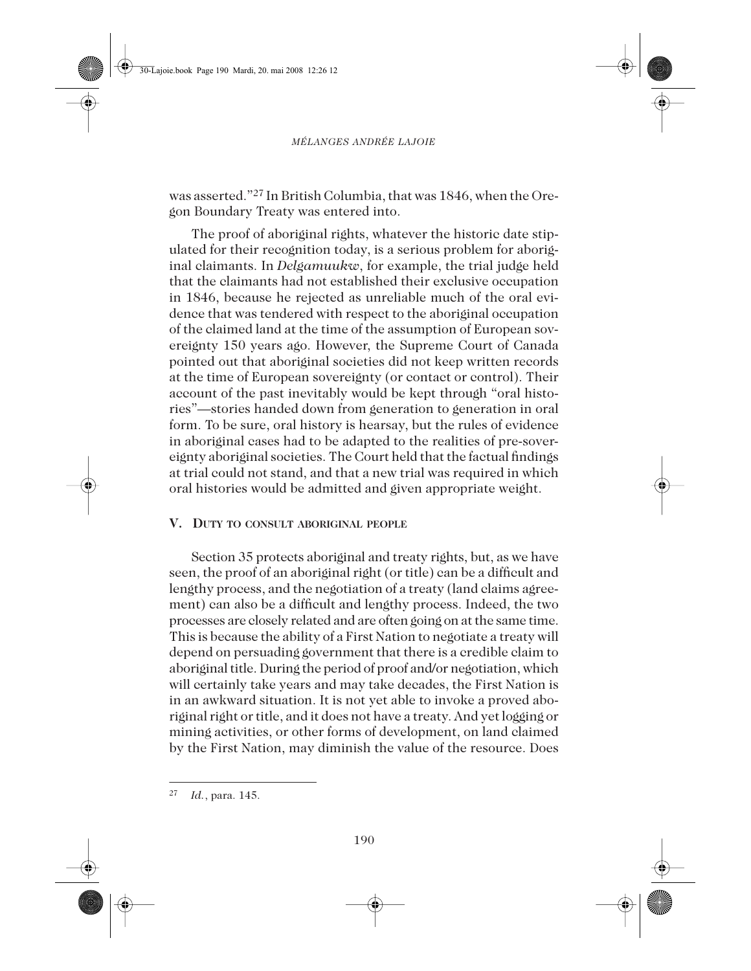was asserted."27 In British Columbia, that was 1846, when the Oregon Boundary Treaty was entered into.

The proof of aboriginal rights, whatever the historic date stipulated for their recognition today, is a serious problem for aboriginal claimants. In *Delgamuukw*, for example, the trial judge held that the claimants had not established their exclusive occupation in 1846, because he rejected as unreliable much of the oral evidence that was tendered with respect to the aboriginal occupation of the claimed land at the time of the assumption of European sovereignty 150 years ago. However, the Supreme Court of Canada pointed out that aboriginal societies did not keep written records at the time of European sovereignty (or contact or control). Their account of the past inevitably would be kept through "oral histories"—stories handed down from generation to generation in oral form. To be sure, oral history is hearsay, but the rules of evidence in aboriginal cases had to be adapted to the realities of pre-sovereignty aboriginal societies. The Court held that the factual findings at trial could not stand, and that a new trial was required in which oral histories would be admitted and given appropriate weight.

## **V. DUTY TO CONSULT ABORIGINAL PEOPLE**

Section 35 protects aboriginal and treaty rights, but, as we have seen, the proof of an aboriginal right (or title) can be a difficult and lengthy process, and the negotiation of a treaty (land claims agreement) can also be a difficult and lengthy process. Indeed, the two processes are closely related and are often going on at the same time. This is because the ability of a First Nation to negotiate a treaty will depend on persuading government that there is a credible claim to aboriginal title. During the period of proof and/or negotiation, which will certainly take years and may take decades, the First Nation is in an awkward situation. It is not yet able to invoke a proved aboriginal right or title, and it does not have a treaty. And yet logging or mining activities, or other forms of development, on land claimed by the First Nation, may diminish the value of the resource. Does

<sup>27</sup> *Id.*, para. 145.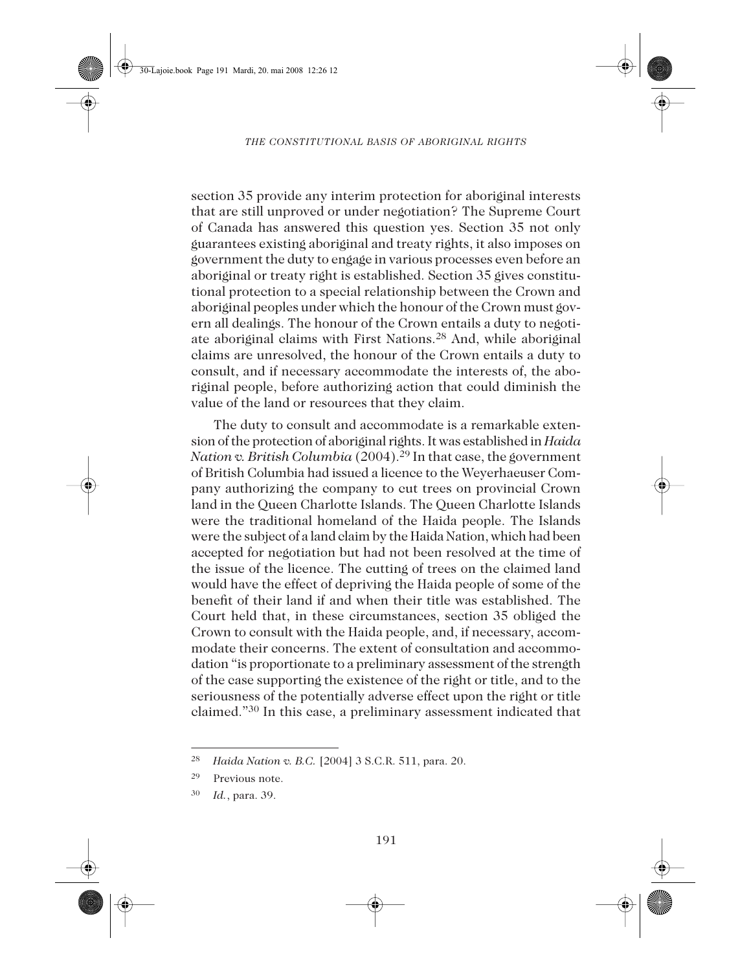section 35 provide any interim protection for aboriginal interests that are still unproved or under negotiation? The Supreme Court of Canada has answered this question yes. Section 35 not only guarantees existing aboriginal and treaty rights, it also imposes on government the duty to engage in various processes even before an aboriginal or treaty right is established. Section 35 gives constitutional protection to a special relationship between the Crown and aboriginal peoples under which the honour of the Crown must govern all dealings. The honour of the Crown entails a duty to negotiate aboriginal claims with First Nations.28 And, while aboriginal claims are unresolved, the honour of the Crown entails a duty to consult, and if necessary accommodate the interests of, the aboriginal people, before authorizing action that could diminish the value of the land or resources that they claim.

The duty to consult and accommodate is a remarkable extension of the protection of aboriginal rights. It was established in *Haida Nation v. British Columbia* (2004).29 In that case, the government of British Columbia had issued a licence to the Weyerhaeuser Company authorizing the company to cut trees on provincial Crown land in the Queen Charlotte Islands. The Queen Charlotte Islands were the traditional homeland of the Haida people. The Islands were the subject of a land claim by the Haida Nation, which had been accepted for negotiation but had not been resolved at the time of the issue of the licence. The cutting of trees on the claimed land would have the effect of depriving the Haida people of some of the benefit of their land if and when their title was established. The Court held that, in these circumstances, section 35 obliged the Crown to consult with the Haida people, and, if necessary, accommodate their concerns. The extent of consultation and accommodation "is proportionate to a preliminary assessment of the strength of the case supporting the existence of the right or title, and to the seriousness of the potentially adverse effect upon the right or title claimed."30 In this case, a preliminary assessment indicated that

<sup>28</sup> *Haida Nation v. B.C.* [2004] 3 S.C.R. 511, para. 20.

<sup>29</sup> Previous note.

<sup>30</sup> *Id.*, para. 39.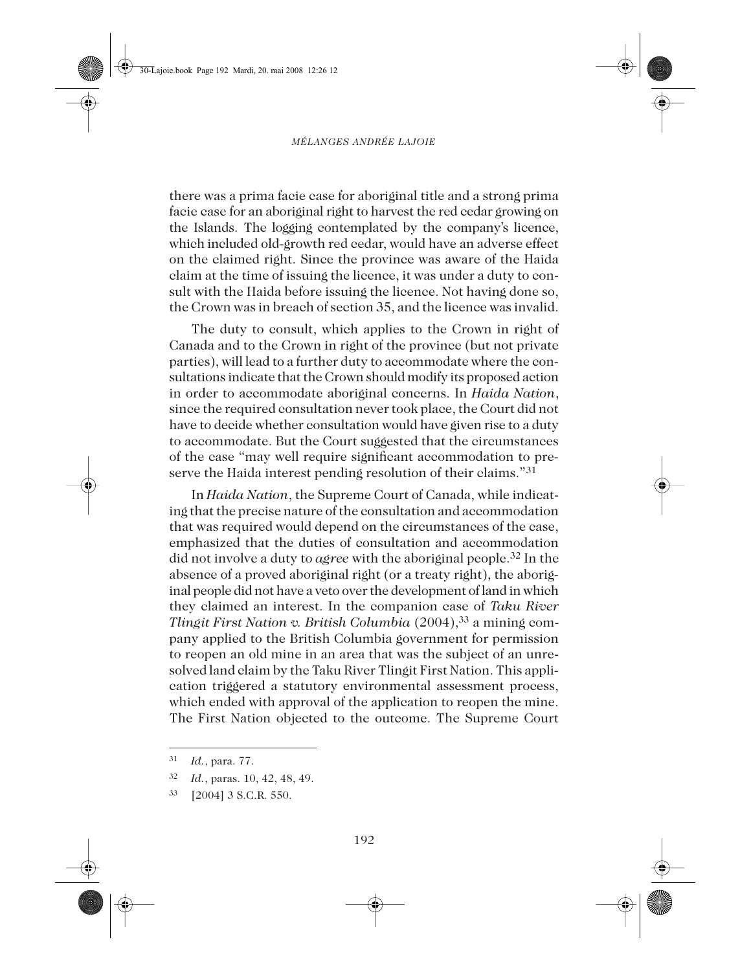there was a prima facie case for aboriginal title and a strong prima facie case for an aboriginal right to harvest the red cedar growing on the Islands. The logging contemplated by the company's licence, which included old-growth red cedar, would have an adverse effect on the claimed right. Since the province was aware of the Haida claim at the time of issuing the licence, it was under a duty to consult with the Haida before issuing the licence. Not having done so, the Crown was in breach of section 35, and the licence was invalid.

The duty to consult, which applies to the Crown in right of Canada and to the Crown in right of the province (but not private parties), will lead to a further duty to accommodate where the consultations indicate that the Crown should modify its proposed action in order to accommodate aboriginal concerns. In *Haida Nation*, since the required consultation never took place, the Court did not have to decide whether consultation would have given rise to a duty to accommodate. But the Court suggested that the circumstances of the case "may well require significant accommodation to preserve the Haida interest pending resolution of their claims."<sup>31</sup>

In *Haida Nation*, the Supreme Court of Canada, while indicating that the precise nature of the consultation and accommodation that was required would depend on the circumstances of the case, emphasized that the duties of consultation and accommodation did not involve a duty to *agree* with the aboriginal people.32 In the absence of a proved aboriginal right (or a treaty right), the aboriginal people did not have a veto over the development of land in which they claimed an interest. In the companion case of *Taku River Tlingit First Nation v. British Columbia* (2004),<sup>33</sup> a mining company applied to the British Columbia government for permission to reopen an old mine in an area that was the subject of an unresolved land claim by the Taku River Tlingit First Nation. This application triggered a statutory environmental assessment process, which ended with approval of the application to reopen the mine. The First Nation objected to the outcome. The Supreme Court

<sup>31</sup> *Id.*, para. 77.

<sup>32</sup> *Id.*, paras. 10, 42, 48, 49.

<sup>33</sup> [2004] 3 S.C.R. 550.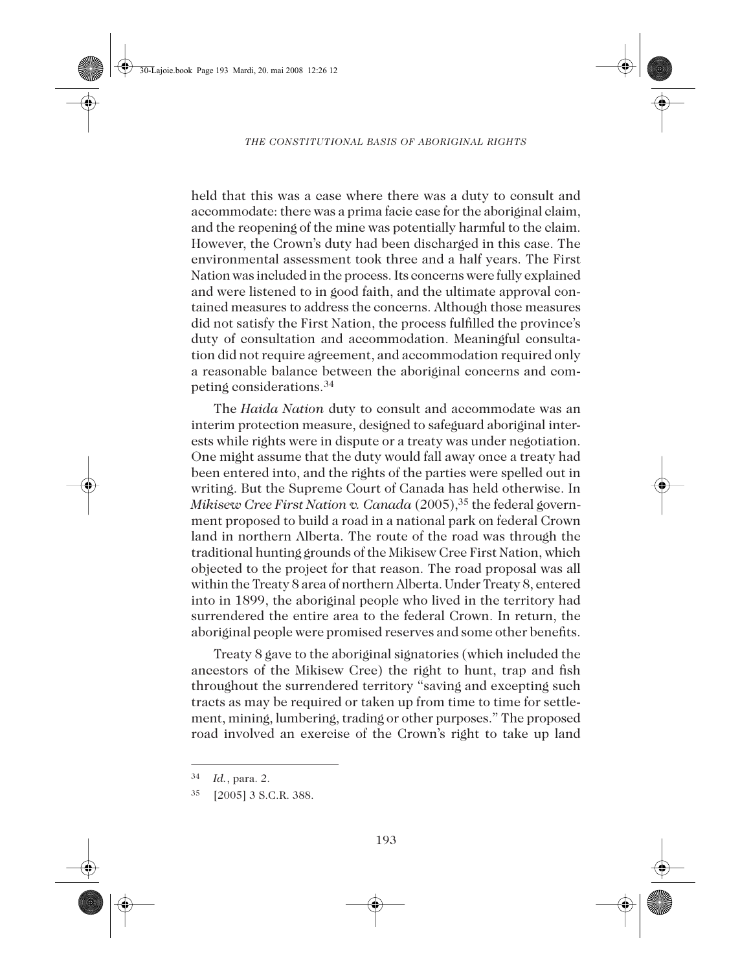held that this was a case where there was a duty to consult and accommodate: there was a prima facie case for the aboriginal claim, and the reopening of the mine was potentially harmful to the claim. However, the Crown's duty had been discharged in this case. The environmental assessment took three and a half years. The First Nation was included in the process. Its concerns were fully explained and were listened to in good faith, and the ultimate approval contained measures to address the concerns. Although those measures did not satisfy the First Nation, the process fulfilled the province's duty of consultation and accommodation. Meaningful consultation did not require agreement, and accommodation required only a reasonable balance between the aboriginal concerns and competing considerations.34

The *Haida Nation* duty to consult and accommodate was an interim protection measure, designed to safeguard aboriginal interests while rights were in dispute or a treaty was under negotiation. One might assume that the duty would fall away once a treaty had been entered into, and the rights of the parties were spelled out in writing. But the Supreme Court of Canada has held otherwise. In *Mikisew Cree First Nation v. Canada* (2005),<sup>35</sup> the federal government proposed to build a road in a national park on federal Crown land in northern Alberta. The route of the road was through the traditional hunting grounds of the Mikisew Cree First Nation, which objected to the project for that reason. The road proposal was all within the Treaty 8 area of northern Alberta. Under Treaty 8, entered into in 1899, the aboriginal people who lived in the territory had surrendered the entire area to the federal Crown. In return, the aboriginal people were promised reserves and some other benefits.

Treaty 8 gave to the aboriginal signatories (which included the ancestors of the Mikisew Cree) the right to hunt, trap and fish throughout the surrendered territory "saving and excepting such tracts as may be required or taken up from time to time for settlement, mining, lumbering, trading or other purposes." The proposed road involved an exercise of the Crown's right to take up land

<sup>34</sup> *Id.*, para. 2.

<sup>35</sup> [2005] 3 S.C.R. 388.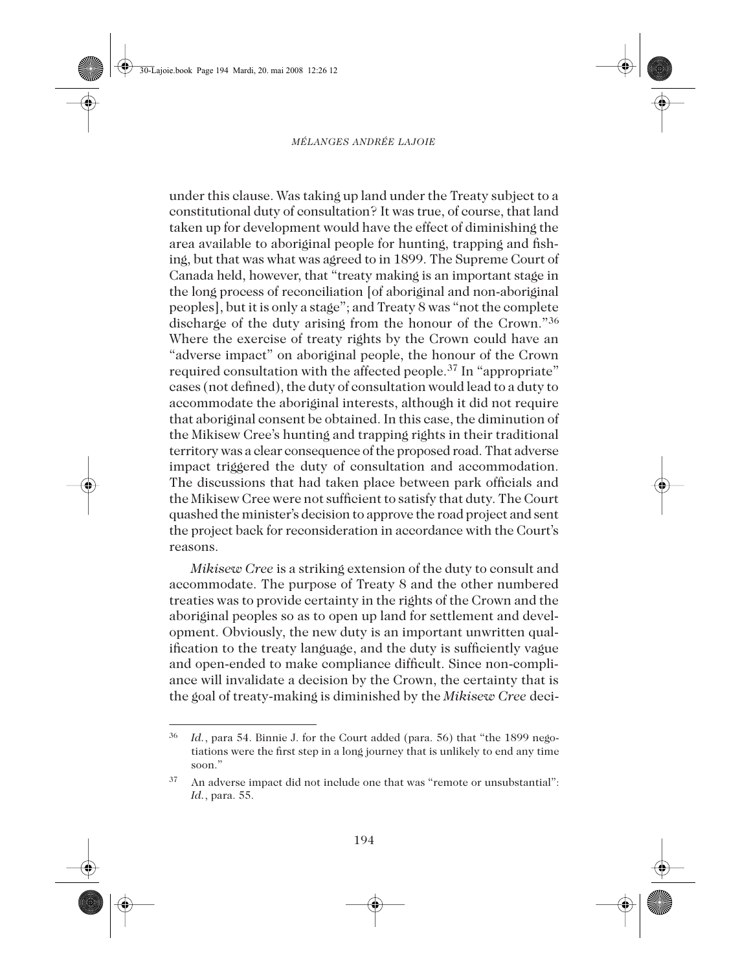under this clause. Was taking up land under the Treaty subject to a constitutional duty of consultation? It was true, of course, that land taken up for development would have the effect of diminishing the area available to aboriginal people for hunting, trapping and fishing, but that was what was agreed to in 1899. The Supreme Court of Canada held, however, that "treaty making is an important stage in the long process of reconciliation [of aboriginal and non-aboriginal peoples], but it is only a stage"; and Treaty 8 was "not the complete discharge of the duty arising from the honour of the Crown."36 Where the exercise of treaty rights by the Crown could have an "adverse impact" on aboriginal people, the honour of the Crown required consultation with the affected people.37 In "appropriate" cases (not defined), the duty of consultation would lead to a duty to accommodate the aboriginal interests, although it did not require that aboriginal consent be obtained. In this case, the diminution of the Mikisew Cree's hunting and trapping rights in their traditional territory was a clear consequence of the proposed road. That adverse impact triggered the duty of consultation and accommodation. The discussions that had taken place between park officials and the Mikisew Cree were not sufficient to satisfy that duty. The Court quashed the minister's decision to approve the road project and sent the project back for reconsideration in accordance with the Court's reasons.

*Mikisew Cree* is a striking extension of the duty to consult and accommodate. The purpose of Treaty 8 and the other numbered treaties was to provide certainty in the rights of the Crown and the aboriginal peoples so as to open up land for settlement and development. Obviously, the new duty is an important unwritten qualification to the treaty language, and the duty is sufficiently vague and open-ended to make compliance difficult. Since non-compliance will invalidate a decision by the Crown, the certainty that is the goal of treaty-making is diminished by the *Mikisew Cree* deci-

<sup>36</sup> *Id.*, para 54. Binnie J. for the Court added (para. 56) that "the 1899 negotiations were the first step in a long journey that is unlikely to end any time soon."

<sup>37</sup> An adverse impact did not include one that was "remote or unsubstantial": *Id.*, para. 55.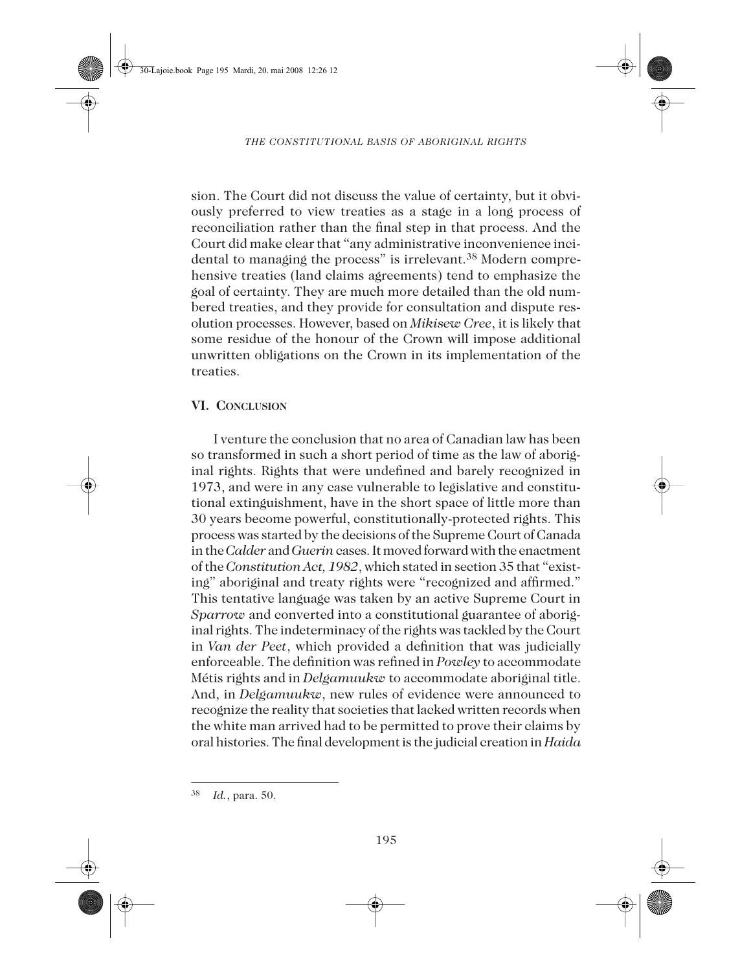sion. The Court did not discuss the value of certainty, but it obviously preferred to view treaties as a stage in a long process of reconciliation rather than the final step in that process. And the Court did make clear that "any administrative inconvenience incidental to managing the process" is irrelevant.<sup>38</sup> Modern comprehensive treaties (land claims agreements) tend to emphasize the goal of certainty. They are much more detailed than the old numbered treaties, and they provide for consultation and dispute resolution processes. However, based on *Mikisew Cree*, it is likely that some residue of the honour of the Crown will impose additional unwritten obligations on the Crown in its implementation of the treaties.

## **VI. CONCLUSION**

I venture the conclusion that no area of Canadian law has been so transformed in such a short period of time as the law of aboriginal rights. Rights that were undefined and barely recognized in 1973, and were in any case vulnerable to legislative and constitutional extinguishment, have in the short space of little more than 30 years become powerful, constitutionally-protected rights. This process was started by the decisions of the Supreme Court of Canada inthe *Calder* and *Guerin* cases. It moved forward with the enactment of the *Constitution Act*, 1982, which stated in section 35 that "existing" aboriginal and treaty rights were "recognized and affirmed." This tentative language was taken by an active Supreme Court in *Sparrow* and converted into a constitutional guarantee of aboriginal rights. The indeterminacy of the rights was tackled by the Court in *Van der Peet*, which provided a definition that was judicially enforceable. The definition was refined in *Powley* to accommodate Métis rights and in *Delgamuukw* to accommodate aboriginal title. And, in *Delgamuukw*, new rules of evidence were announced to recognize the reality that societies that lacked written records when the white man arrived had to be permitted to prove their claims by oral histories. The final development is the judicial creation in *Haida*

<sup>38</sup> *Id.*, para. 50.